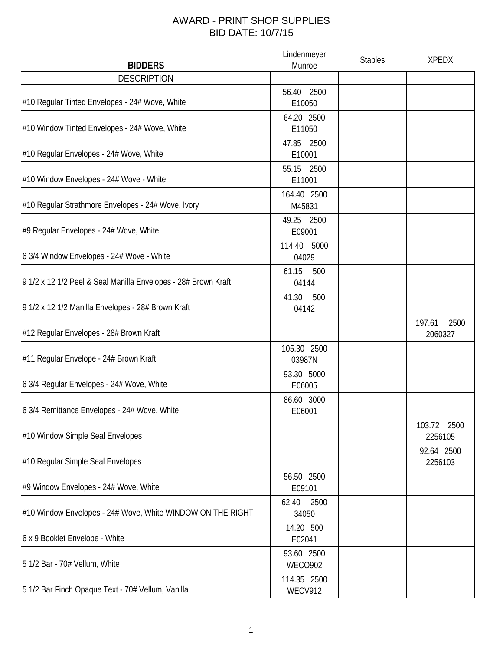## AWARD - PRINT SHOP SUPPLIES BID DATE: 10/7/15

| <b>BIDDERS</b>                                                 | Lindenmeyer<br>Munroe         | <b>Staples</b> | <b>XPEDX</b>              |
|----------------------------------------------------------------|-------------------------------|----------------|---------------------------|
| <b>DESCRIPTION</b>                                             |                               |                |                           |
| #10 Regular Tinted Envelopes - 24# Wove, White                 | 56.40 2500<br>E10050          |                |                           |
| #10 Window Tinted Envelopes - 24# Wove, White                  | 64.20 2500<br>E11050          |                |                           |
| #10 Regular Envelopes - 24# Wove, White                        | 47.85 2500<br>E10001          |                |                           |
| #10 Window Envelopes - 24# Wove - White                        | 55.15 2500<br>E11001          |                |                           |
| #10 Regular Strathmore Envelopes - 24# Wove, Ivory             | 164.40 2500<br>M45831         |                |                           |
| #9 Regular Envelopes - 24# Wove, White                         | 49.25 2500<br>E09001          |                |                           |
| 6 3/4 Window Envelopes - 24# Wove - White                      | 114.40 5000<br>04029          |                |                           |
| 9 1/2 x 12 1/2 Peel & Seal Manilla Envelopes - 28# Brown Kraft | 61.15<br>500<br>04144         |                |                           |
| 9 1/2 x 12 1/2 Manilla Envelopes - 28# Brown Kraft             | 41.30<br>500<br>04142         |                |                           |
| #12 Regular Envelopes - 28# Brown Kraft                        |                               |                | 2500<br>197.61<br>2060327 |
| #11 Regular Envelope - 24# Brown Kraft                         | 105.30 2500<br>03987N         |                |                           |
| 6 3/4 Regular Envelopes - 24# Wove, White                      | 93.30 5000<br>E06005          |                |                           |
| 6 3/4 Remittance Envelopes - 24# Wove, White                   | 86.60 3000<br>E06001          |                |                           |
| #10 Window Simple Seal Envelopes                               |                               |                | 103.72 2500<br>2256105    |
| #10 Regular Simple Seal Envelopes                              |                               |                | 92.64 2500<br>2256103     |
| #9 Window Envelopes - 24# Wove, White                          | 56.50 2500<br>E09101          |                |                           |
| #10 Window Envelopes - 24# Wove, White WINDOW ON THE RIGHT     | 62.40<br>2500<br>34050        |                |                           |
| 6 x 9 Booklet Envelope - White                                 | 14.20 500<br>E02041           |                |                           |
| 5 1/2 Bar - 70# Vellum, White                                  | 93.60 2500<br><b>WECO902</b>  |                |                           |
| 5 1/2 Bar Finch Opaque Text - 70# Vellum, Vanilla              | 114.35 2500<br><b>WECV912</b> |                |                           |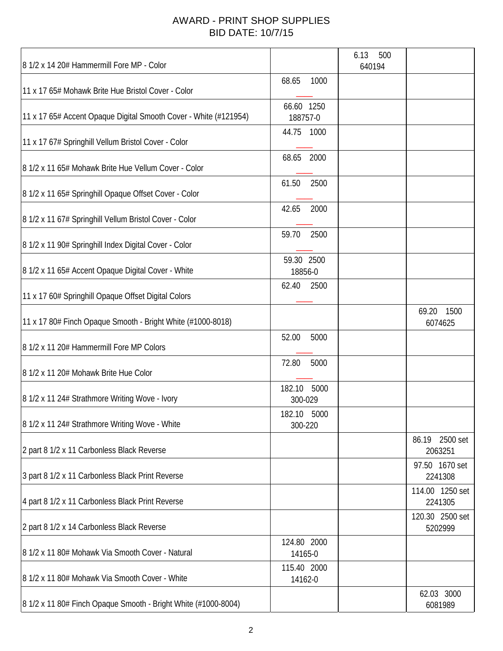## AWARD - PRINT SHOP SUPPLIES BID DATE: 10/7/15

| 8 1/2 x 14 20# Hammermill Fore MP - Color                        |                        | 6.13<br>500<br>640194 |                              |
|------------------------------------------------------------------|------------------------|-----------------------|------------------------------|
| 11 x 17 65# Mohawk Brite Hue Bristol Cover - Color               | 68.65<br>1000          |                       |                              |
| 11 x 17 65# Accent Opaque Digital Smooth Cover - White (#121954) | 66.60 1250<br>188757-0 |                       |                              |
| 11 x 17 67# Springhill Vellum Bristol Cover - Color              | 1000<br>44.75          |                       |                              |
| 8 1/2 x 11 65# Mohawk Brite Hue Vellum Cover - Color             | 68.65<br>2000          |                       |                              |
| 8 1/2 x 11 65# Springhill Opaque Offset Cover - Color            | 61.50<br>2500          |                       |                              |
| 8 1/2 x 11 67# Springhill Vellum Bristol Cover - Color           | 42.65<br>2000          |                       |                              |
| 8 1/2 x 11 90# Springhill Index Digital Cover - Color            | 2500<br>59.70          |                       |                              |
| 8 1/2 x 11 65# Accent Opaque Digital Cover - White               | 59.30 2500<br>18856-0  |                       |                              |
| 11 x 17 60# Springhill Opaque Offset Digital Colors              | 62.40<br>2500          |                       |                              |
| 11 x 17 80# Finch Opaque Smooth - Bright White (#1000-8018)      |                        |                       | 69.20<br>1500<br>6074625     |
| 8 1/2 x 11 20# Hammermill Fore MP Colors                         | 52.00<br>5000          |                       |                              |
| 8 1/2 x 11 20# Mohawk Brite Hue Color                            | 72.80<br>5000          |                       |                              |
| 8 1/2 x 11 24# Strathmore Writing Wove - Ivory                   | 182.10 5000<br>300-029 |                       |                              |
| 8 1/2 x 11 24# Strathmore Writing Wove - White                   | 182.10 5000<br>300-220 |                       |                              |
| 2 part 8 1/2 x 11 Carbonless Black Reverse                       |                        |                       | 86.19<br>2500 set<br>2063251 |
| 3 part 8 1/2 x 11 Carbonless Black Print Reverse                 |                        |                       | 97.50 1670 set<br>2241308    |
| 4 part 8 1/2 x 11 Carbonless Black Print Reverse                 |                        |                       | 114.00 1250 set<br>2241305   |
| 2 part 8 1/2 x 14 Carbonless Black Reverse                       |                        |                       | 120.30 2500 set<br>5202999   |
| 8 1/2 x 11 80# Mohawk Via Smooth Cover - Natural                 | 124.80 2000<br>14165-0 |                       |                              |
| 8 1/2 x 11 80# Mohawk Via Smooth Cover - White                   | 115.40 2000<br>14162-0 |                       |                              |
| 8 1/2 x 11 80# Finch Opaque Smooth - Bright White (#1000-8004)   |                        |                       | 62.03 3000<br>6081989        |